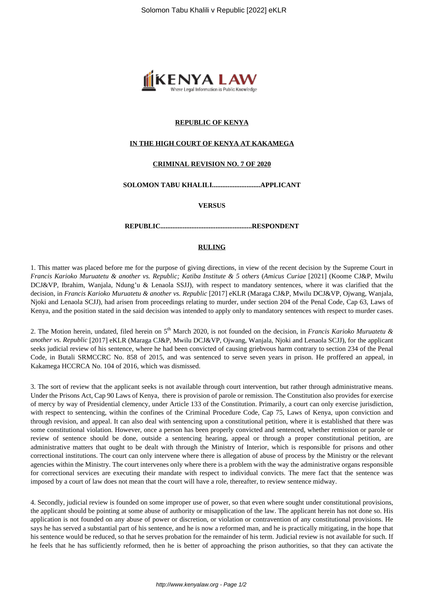

# **REPUBLIC OF KENYA**

# **IN THE HIGH COURT OF KENYA AT KAKAMEGA**

# **CRIMINAL REVISION NO. 7 OF 2020**

## **SOLOMON TABU KHALILI............................APPLICANT**

**VERSUS**

### **REPUBLIC.....................................................RESPONDENT**

# **RULING**

1. This matter was placed before me for the purpose of giving directions, in view of the recent decision by the Supreme Court in *Francis Karioko Muruatetu & another vs. Republic; Katiba Institute & 5 others* (*Amicus Curiae* [2021] (Koome CJ&P, Mwilu DCJ&VP, Ibrahim, Wanjala, Ndung'u & Lenaola SSJJ), with respect to mandatory sentences, where it was clarified that the decision, in *Francis Karioko Muruatetu & another vs. Republic* [2017] eKLR (Maraga CJ&P, Mwilu DCJ&VP, Ojwang, Wanjala, Njoki and Lenaola SCJJ), had arisen from proceedings relating to murder, under section 204 of the Penal Code, Cap 63, Laws of Kenya, and the position stated in the said decision was intended to apply only to mandatory sentences with respect to murder cases.

2. The Motion herein, undated, filed herein on 5th March 2020, is not founded on the decision, in *Francis Karioko Muruatetu & another vs. Republic* [2017] eKLR (Maraga CJ&P, Mwilu DCJ&VP, Ojwang, Wanjala, Njoki and Lenaola SCJJ), for the applicant seeks judicial review of his sentence, where he had been convicted of causing griebvous harm contrary to section 234 of the Penal Code, in Butali SRMCCRC No. 858 of 2015, and was sentenced to serve seven years in prison. He proffered an appeal, in Kakamega HCCRCA No. 104 of 2016, which was dismissed.

3. The sort of review that the applicant seeks is not available through court intervention, but rather through administrative means. Under the Prisons Act, Cap 90 Laws of Kenya, there is provision of parole or remission. The Constitution also provides for exercise of mercy by way of Presidential clemency, under Article 133 of the Constitution. Primarily, a court can only exercise jurisdiction, with respect to sentencing, within the confines of the Criminal Procedure Code, Cap 75, Laws of Kenya, upon conviction and through revision, and appeal. It can also deal with sentencing upon a constitutional petition, where it is established that there was some constitutional violation. However, once a person has been properly convicted and sentenced, whether remission or parole or review of sentence should be done, outside a sentencing hearing, appeal or through a proper constitutional petition, are administrative matters that ought to be dealt with through the Ministry of Interior, which is responsible for prisons and other correctional institutions. The court can only intervene where there is allegation of abuse of process by the Ministry or the relevant agencies within the Ministry. The court intervenes only where there is a problem with the way the administrative organs responsible for correctional services are executing their mandate with respect to individual convicts. The mere fact that the sentence was imposed by a court of law does not mean that the court will have a role, thereafter, to review sentence midway.

4. Secondly, judicial review is founded on some improper use of power, so that even where sought under constitutional provisions, the applicant should be pointing at some abuse of authority or misapplication of the law. The applicant herein has not done so. His application is not founded on any abuse of power or discretion, or violation or contravention of any constitutional provisions. He says he has served a substantial part of his sentence, and he is now a reformed man, and he is practically mitigating, in the hope that his sentence would be reduced, so that he serves probation for the remainder of his term. Judicial review is not available for such. If he feels that he has sufficiently reformed, then he is better of approaching the prison authorities, so that they can activate the